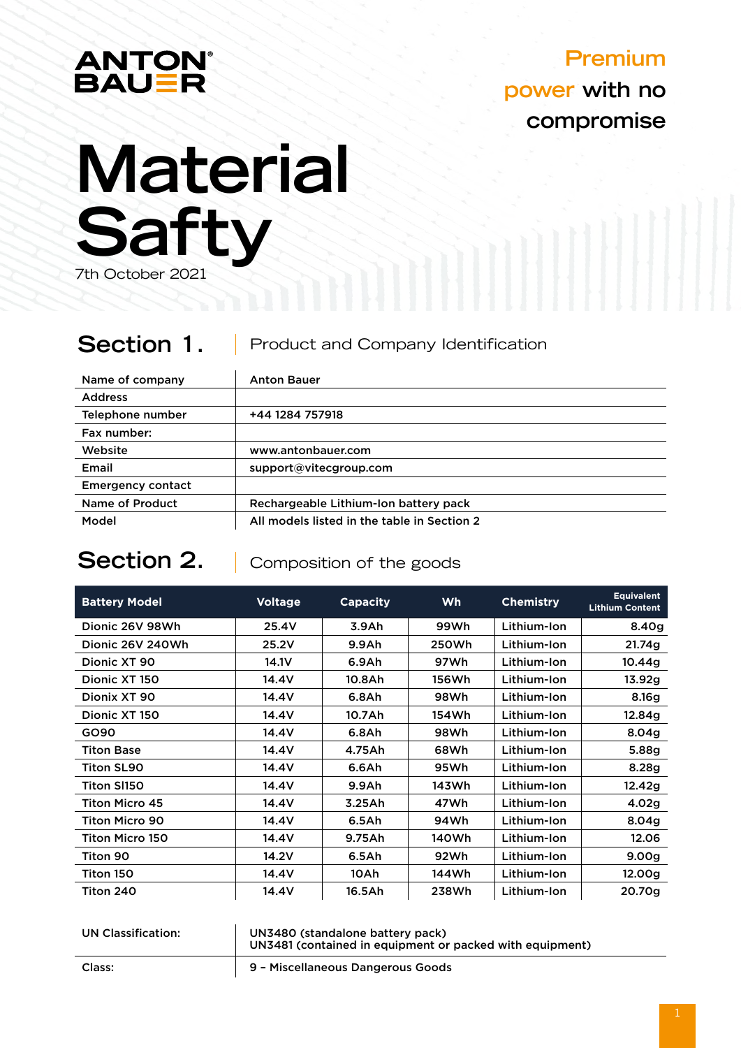

# **Premium power with no compromise**

# **Material Safty**

7th October 2021

#### **Section 1.**  Product and Company Identification

| Name of company          | <b>Anton Bauer</b>                          |  |
|--------------------------|---------------------------------------------|--|
| <b>Address</b>           |                                             |  |
| Telephone number         | +44 1284 757918                             |  |
| Fax number:              |                                             |  |
| Website                  | www.antonbauer.com                          |  |
| Email                    | support@vitecgroup.com                      |  |
| <b>Emergency contact</b> |                                             |  |
| Name of Product          | Rechargeable Lithium-Ion battery pack       |  |
| Model                    | All models listed in the table in Section 2 |  |

# **Section 2.**

Composition of the goods

| <b>Battery Model</b>   | <b>Voltage</b> | <b>Capacity</b>   | <b>Wh</b> | <b>Chemistry</b> | <b>Equivalent</b><br><b>Lithium Content</b> |
|------------------------|----------------|-------------------|-----------|------------------|---------------------------------------------|
| Dionic 26V 98Wh        | 25.4V          | 3.9Ah             | 99Wh      | Lithium-Ion      | 8.40 <sub>g</sub>                           |
| Dionic 26V 240Wh       | 25.2V          | 9.9A <sub>h</sub> | 250Wh     | Lithium-Ion      | 21.74g                                      |
| Dionic XT 90           | 14.1V          | 6.9Ah             | 97Wh      | Lithium-Ion      | 10.44a                                      |
| Dionic XT 150          | 14.4V          | 10.8Ah            | 156Wh     | Lithium-Ion      | 13.92g                                      |
| Dionix XT 90           | 14.4V          | 6.8A <sub>h</sub> | 98Wh      | Lithium-Ion      | 8.16g                                       |
| Dionic XT 150          | 14.4V          | 10.7Ah            | 154Wh     | Lithium-Ion      | 12.84g                                      |
| GO90                   | 14.4V          | 6.8Ah             | 98Wh      | Lithium-Ion      | 8.04 <sub>g</sub>                           |
| <b>Titon Base</b>      | 14.4V          | 4.75Ah            | 68Wh      | Lithium-Ion      | 5.88g                                       |
| <b>Titon SL90</b>      | 14.4V          | 6.6Ah             | 95Wh      | Lithium-Ion      | 8.28g                                       |
| <b>Titon SI150</b>     | 14.4V          | 9.9A <sub>h</sub> | 143Wh     | Lithium-Ion      | 12.42g                                      |
| <b>Titon Micro 45</b>  | 14.4V          | 3.25Ah            | 47Wh      | Lithium-Ion      | 4.02g                                       |
| <b>Titon Micro 90</b>  | 14.4V          | 6.5Ah             | 94Wh      | Lithium-Ion      | 8.04 <sub>g</sub>                           |
| <b>Titon Micro 150</b> | 14.4V          | 9.75Ah            | 140Wh     | Lithium-Ion      | 12.06                                       |
| Titon 90               | 14.2V          | 6.5Ah             | 92Wh      | Lithium-Ion      | 9.00 <sub>g</sub>                           |
| Titon 150              | 14.4V          | 10Ah              | 144Wh     | Lithium-Ion      | 12.00g                                      |
| Titon 240              | 14.4V          | 16.5Ah            | 238Wh     | Lithium-Ion      | 20.70g                                      |

| <b>UN Classification:</b> | UN3480 (standalone battery pack)<br>UN3481 (contained in equipment or packed with equipment) |
|---------------------------|----------------------------------------------------------------------------------------------|
|                           |                                                                                              |

Class: 9 – Miscellaneous Dangerous Goods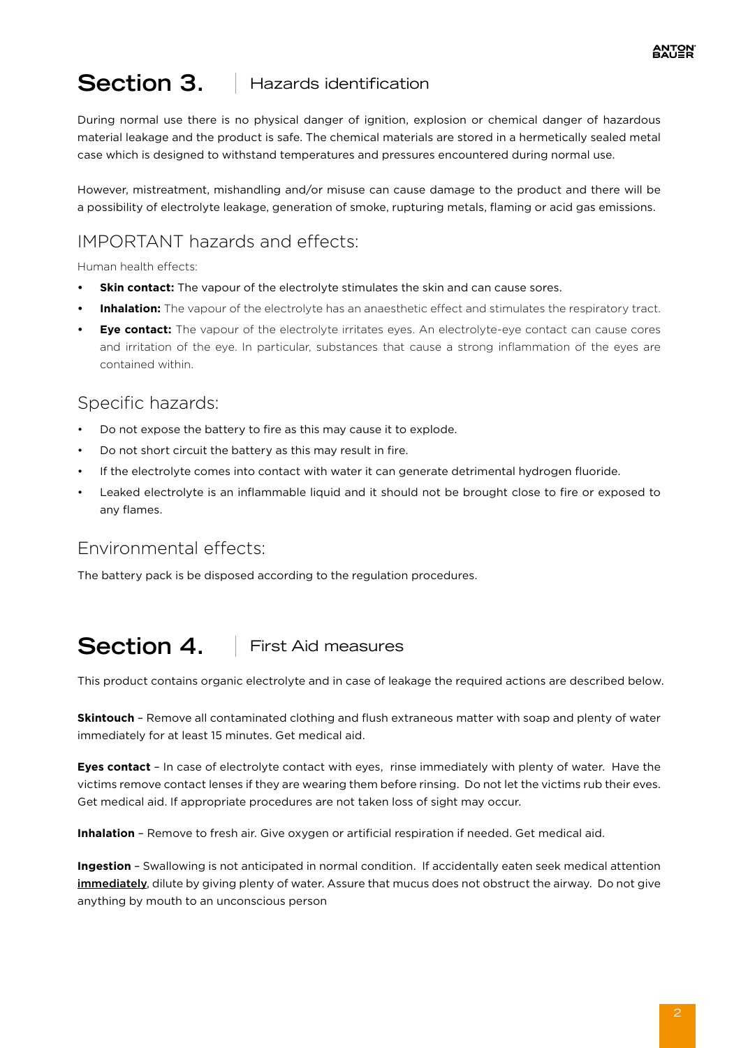#### **Section 3.**  Hazards identification

During normal use there is no physical danger of ignition, explosion or chemical danger of hazardous material leakage and the product is safe. The chemical materials are stored in a hermetically sealed metal case which is designed to withstand temperatures and pressures encountered during normal use.

However, mistreatment, mishandling and/or misuse can cause damage to the product and there will be a possibility of electrolyte leakage, generation of smoke, rupturing metals, flaming or acid gas emissions.

# IMPORTANT hazards and effects:

Human health effects:

- **Skin contact:** The vapour of the electrolyte stimulates the skin and can cause sores.
- **Inhalation:** The vapour of the electrolyte has an anaesthetic effect and stimulates the respiratory tract.
- **• Eye contact:** The vapour of the electrolyte irritates eyes. An electrolyte-eye contact can cause cores and irritation of the eye. In particular, substances that cause a strong inflammation of the eyes are contained within.

### Specific hazards:

- Do not expose the battery to fire as this may cause it to explode.
- Do not short circuit the battery as this may result in fire.
- If the electrolyte comes into contact with water it can generate detrimental hydrogen fluoride.
- Leaked electrolyte is an inflammable liquid and it should not be brought close to fire or exposed to any flames.

#### Environmental effects:

The battery pack is be disposed according to the regulation procedures.

#### **Section 4.**  First Aid measures

This product contains organic electrolyte and in case of leakage the required actions are described below.

**Skintouch** – Remove all contaminated clothing and flush extraneous matter with soap and plenty of water immediately for at least 15 minutes. Get medical aid.

**Eyes contact** – In case of electrolyte contact with eyes, rinse immediately with plenty of water. Have the victims remove contact lenses if they are wearing them before rinsing. Do not let the victims rub their eves. Get medical aid. If appropriate procedures are not taken loss of sight may occur.

**Inhalation** – Remove to fresh air. Give oxygen or artificial respiration if needed. Get medical aid.

**Ingestion** – Swallowing is not anticipated in normal condition. If accidentally eaten seek medical attention immediately, dilute by giving plenty of water. Assure that mucus does not obstruct the airway. Do not give anything by mouth to an unconscious person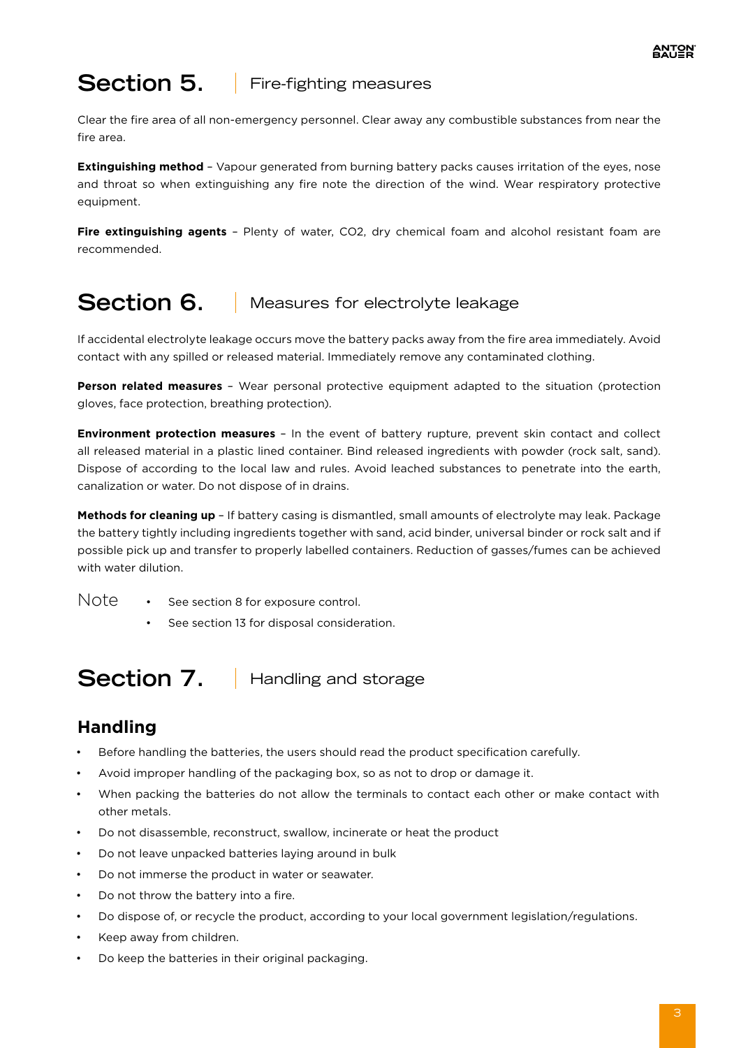# **Section 5.** Fire-fighting measures

Clear the fire area of all non-emergency personnel. Clear away any combustible substances from near the fire area.

**Extinguishing method** – Vapour generated from burning battery packs causes irritation of the eyes, nose and throat so when extinguishing any fire note the direction of the wind. Wear respiratory protective equipment.

**Fire extinguishing agents** – Plenty of water, CO2, dry chemical foam and alcohol resistant foam are recommended.

# **Section 6.** Measures for electrolyte leakage

If accidental electrolyte leakage occurs move the battery packs away from the fire area immediately. Avoid contact with any spilled or released material. Immediately remove any contaminated clothing.

**Person related measures** – Wear personal protective equipment adapted to the situation (protection gloves, face protection, breathing protection).

**Environment protection measures** – In the event of battery rupture, prevent skin contact and collect all released material in a plastic lined container. Bind released ingredients with powder (rock salt, sand). Dispose of according to the local law and rules. Avoid leached substances to penetrate into the earth, canalization or water. Do not dispose of in drains.

**Methods for cleaning up** – If battery casing is dismantled, small amounts of electrolyte may leak. Package the battery tightly including ingredients together with sand, acid binder, universal binder or rock salt and if possible pick up and transfer to properly labelled containers. Reduction of gasses/fumes can be achieved with water dilution.

- See section 8 for exposure control. Note
	- See section 13 for disposal consideration.

**Section 7.** Handling and storage

### **Handling**

- Before handling the batteries, the users should read the product specification carefully.
- Avoid improper handling of the packaging box, so as not to drop or damage it.
- When packing the batteries do not allow the terminals to contact each other or make contact with other metals.
- Do not disassemble, reconstruct, swallow, incinerate or heat the product
- Do not leave unpacked batteries laying around in bulk
- Do not immerse the product in water or seawater.
- Do not throw the battery into a fire.
- Do dispose of, or recycle the product, according to your local government legislation/regulations.
- Keep away from children.
- Do keep the batteries in their original packaging.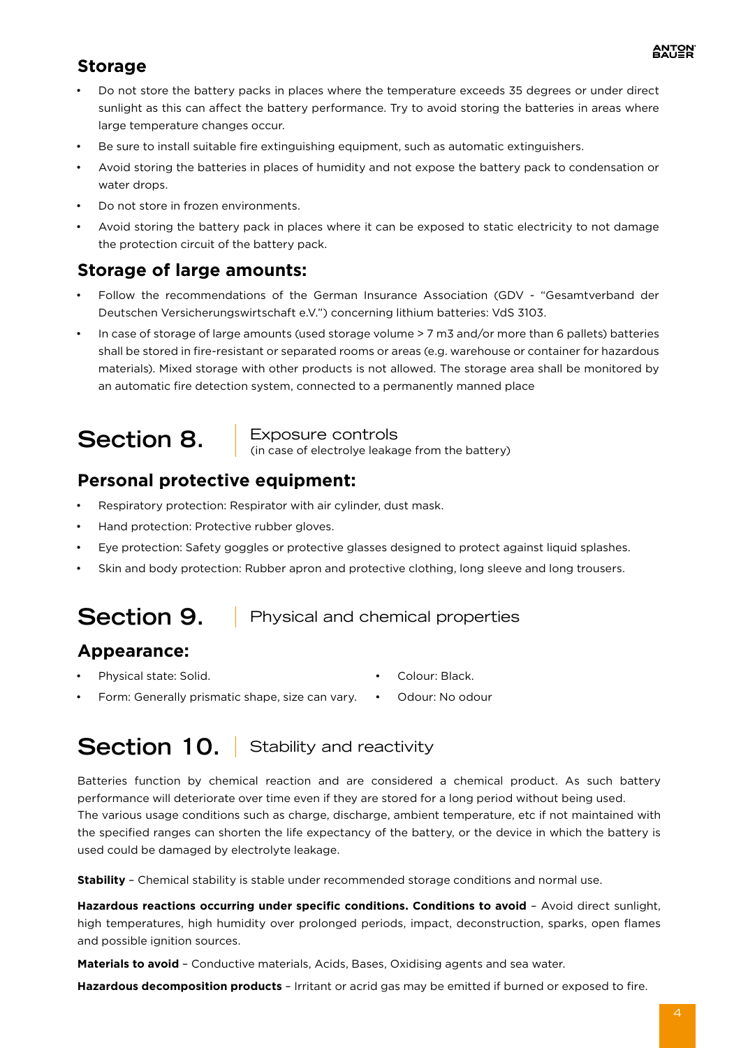### **Storage**

- Do not store the battery packs in places where the temperature exceeds 35 degrees or under direct sunlight as this can affect the battery performance. Try to avoid storing the batteries in areas where large temperature changes occur.
- Be sure to install suitable fire extinguishing equipment, such as automatic extinguishers.
- Avoid storing the batteries in places of humidity and not expose the battery pack to condensation or water drops.
- Do not store in frozen environments.
- Avoid storing the battery pack in places where it can be exposed to static electricity to not damage the protection circuit of the battery pack.

### **Storage of large amounts:**

- Follow the recommendations of the German Insurance Association (GDV "Gesamtverband der Deutschen Versicherungswirtschaft e.V.") concerning lithium batteries: VdS 3103.
- In case of storage of large amounts (used storage volume > 7 m3 and/or more than 6 pallets) batteries shall be stored in fire-resistant or separated rooms or areas (e.g. warehouse or container for hazardous materials). Mixed storage with other products is not allowed. The storage area shall be monitored by an automatic fire detection system, connected to a permanently manned place

**Section 8.** Exposure controls<br>
(in case of electrolye leakage from the battery)

### **Personal protective equipment:**

- Respiratory protection: Respirator with air cylinder, dust mask.
- Hand protection: Protective rubber gloves.
- Eye protection: Safety goggles or protective glasses designed to protect against liquid splashes.
- Skin and body protection: Rubber apron and protective clothing, long sleeve and long trousers.

# **Section 9.** Physical and chemical properties

#### **Appearance:**

• Physical state: Solid.

- Colour: Black.
- Form: Generally prismatic shape, size can vary. Odour: No odour

# Section 10. Stability and reactivity

Batteries function by chemical reaction and are considered a chemical product. As such battery performance will deteriorate over time even if they are stored for a long period without being used. The various usage conditions such as charge, discharge, ambient temperature, etc if not maintained with the specified ranges can shorten the life expectancy of the battery, or the device in which the battery is used could be damaged by electrolyte leakage.

**Stability** – Chemical stability is stable under recommended storage conditions and normal use.

Hazardous reactions occurring under specific conditions. Conditions to avoid - Avoid direct sunlight, high temperatures, high humidity over prolonged periods, impact, deconstruction, sparks, open flames and possible ignition sources.

**Materials to avoid** – Conductive materials, Acids, Bases, Oxidising agents and sea water.

**Hazardous decomposition products** – Irritant or acrid gas may be emitted if burned or exposed to fire.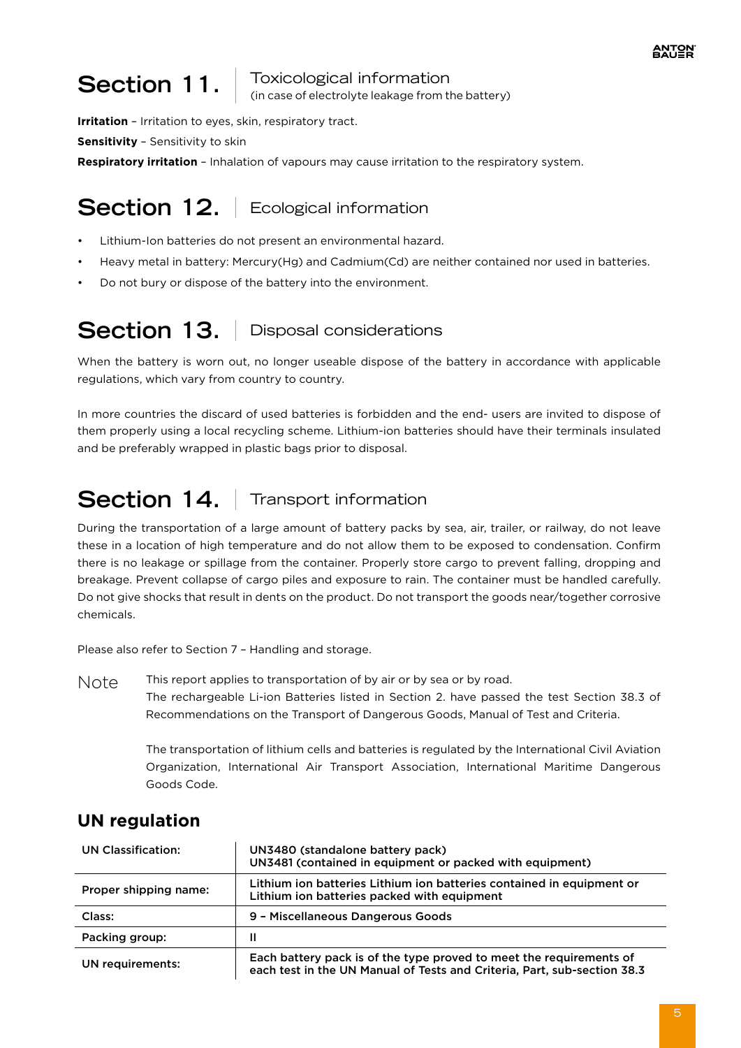# **Section 11.** Toxicological information

(in case of electrolyte leakage from the battery)

**Irritation** – Irritation to eyes, skin, respiratory tract.

**Sensitivity** – Sensitivity to skin

**Respiratory irritation** – Inhalation of vapours may cause irritation to the respiratory system.

# Section 12. **Ecological information**

- Lithium-Ion batteries do not present an environmental hazard.
- Heavy metal in battery: Mercury(Hg) and Cadmium(Cd) are neither contained nor used in batteries.
- Do not bury or dispose of the battery into the environment.

# Section 13. **Disposal considerations**

When the battery is worn out, no longer useable dispose of the battery in accordance with applicable regulations, which vary from country to country.

In more countries the discard of used batteries is forbidden and the end- users are invited to dispose of them properly using a local recycling scheme. Lithium-ion batteries should have their terminals insulated and be preferably wrapped in plastic bags prior to disposal.

# **Section 14.** Transport information

During the transportation of a large amount of battery packs by sea, air, trailer, or railway, do not leave these in a location of high temperature and do not allow them to be exposed to condensation. Confirm there is no leakage or spillage from the container. Properly store cargo to prevent falling, dropping and breakage. Prevent collapse of cargo piles and exposure to rain. The container must be handled carefully. Do not give shocks that result in dents on the product. Do not transport the goods near/together corrosive chemicals.

Please also refer to Section 7 – Handling and storage.

This report applies to transportation of by air or by sea or by road. The rechargeable Li-ion Batteries listed in Section 2. have passed the test Section 38.3 of Recommendations on the Transport of Dangerous Goods, Manual of Test and Criteria. Note

> The transportation of lithium cells and batteries is regulated by the International Civil Aviation Organization, International Air Transport Association, International Maritime Dangerous Goods Code.

# **UN regulation**

| UN Classification:    | UN3480 (standalone battery pack)<br>UN3481 (contained in equipment or packed with equipment)                                                    |  |  |
|-----------------------|-------------------------------------------------------------------------------------------------------------------------------------------------|--|--|
| Proper shipping name: | Lithium ion batteries Lithium ion batteries contained in equipment or<br>Lithium ion batteries packed with equipment                            |  |  |
| Class:                | 9 - Miscellaneous Dangerous Goods                                                                                                               |  |  |
| Packing group:        | Ш                                                                                                                                               |  |  |
| UN requirements:      | Each battery pack is of the type proved to meet the requirements of<br>each test in the UN Manual of Tests and Criteria, Part, sub-section 38.3 |  |  |